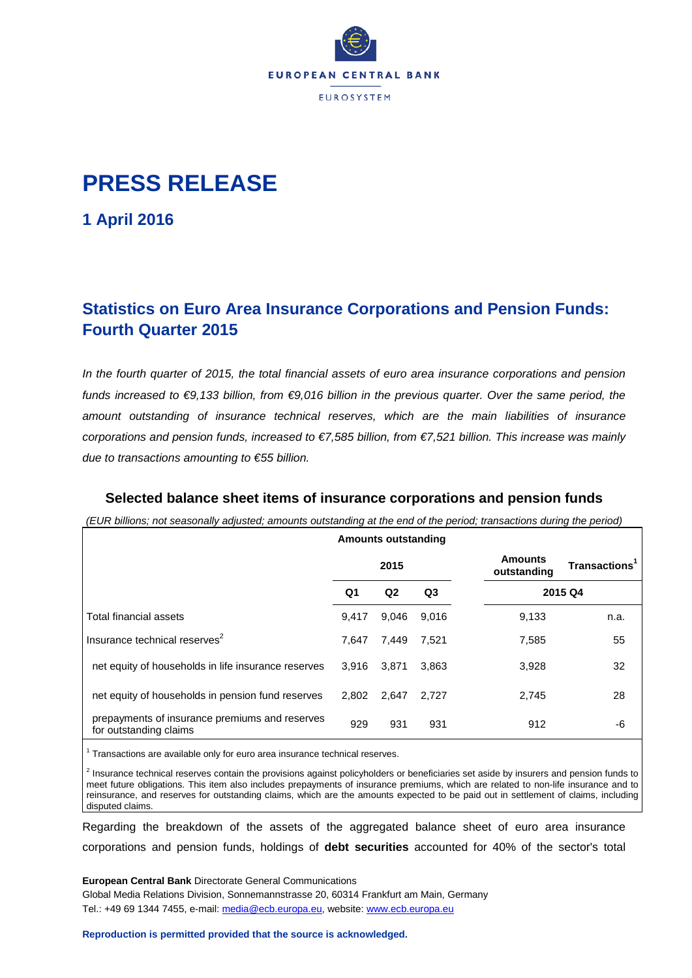

# **PRESS RELEASE**

**1 April 2016**

## **Statistics on Euro Area Insurance Corporations and Pension Funds: Fourth Quarter 2015**

*In the fourth quarter of 2015, the total financial assets of euro area insurance corporations and pension funds increased to €9,133 billion, from €9,016 billion in the previous quarter. Over the same period, the amount outstanding of insurance technical reserves, which are the main liabilities of insurance corporations and pension funds, increased to €7,585 billion, from €7,521 billion. This increase was mainly due to transactions amounting to €55 billion.*

### **Selected balance sheet items of insurance corporations and pension funds**

*(EUR billions; not seasonally adjusted; amounts outstanding at the end of the period; transactions during the period)*

|                                                                          |       | <b>Amounts outstanding</b> |                |                               |                           |  |
|--------------------------------------------------------------------------|-------|----------------------------|----------------|-------------------------------|---------------------------|--|
|                                                                          | 2015  |                            |                | <b>Amounts</b><br>outstanding | Transactions <sup>1</sup> |  |
|                                                                          | Q1    | Q <sub>2</sub>             | Q <sub>3</sub> |                               | 2015 Q4                   |  |
| Total financial assets                                                   | 9,417 | 9,046                      | 9,016          | 9,133                         | n.a.                      |  |
| Insurance technical reserves <sup>2</sup>                                | 7.647 | 7,449                      | 7,521          | 7,585                         | 55                        |  |
| net equity of households in life insurance reserves                      | 3.916 | 3,871                      | 3.863          | 3,928                         | 32                        |  |
| net equity of households in pension fund reserves                        | 2.802 | 2,647                      | 2,727          | 2,745                         | 28                        |  |
| prepayments of insurance premiums and reserves<br>for outstanding claims | 929   | 931                        | 931            | 912                           | -6                        |  |

<sup>1</sup> Transactions are available only for euro area insurance technical reserves.

 $<sup>2</sup>$  Insurance technical reserves contain the provisions against policyholders or beneficiaries set aside by insurers and pension funds to</sup> meet future obligations. This item also includes prepayments of insurance premiums, which are related to non-life insurance and to reinsurance, and reserves for outstanding claims, which are the amounts expected to be paid out in settlement of claims, including disputed claims.

Regarding the breakdown of the assets of the aggregated balance sheet of euro area insurance corporations and pension funds, holdings of **debt securities** accounted for 40% of the sector's total

**European Central Bank** Directorate General Communications Global Media Relations Division, Sonnemannstrasse 20, 60314 Frankfurt am Main, Germany Tel.: +49 69 1344 7455, e-mail: [media@ecb.europa.eu,](mailto:media@ecb.europa.eu) website[: www.ecb.europa.eu](http://www.ecb.europa.eu/)

**Reproduction is permitted provided that the source is acknowledged.**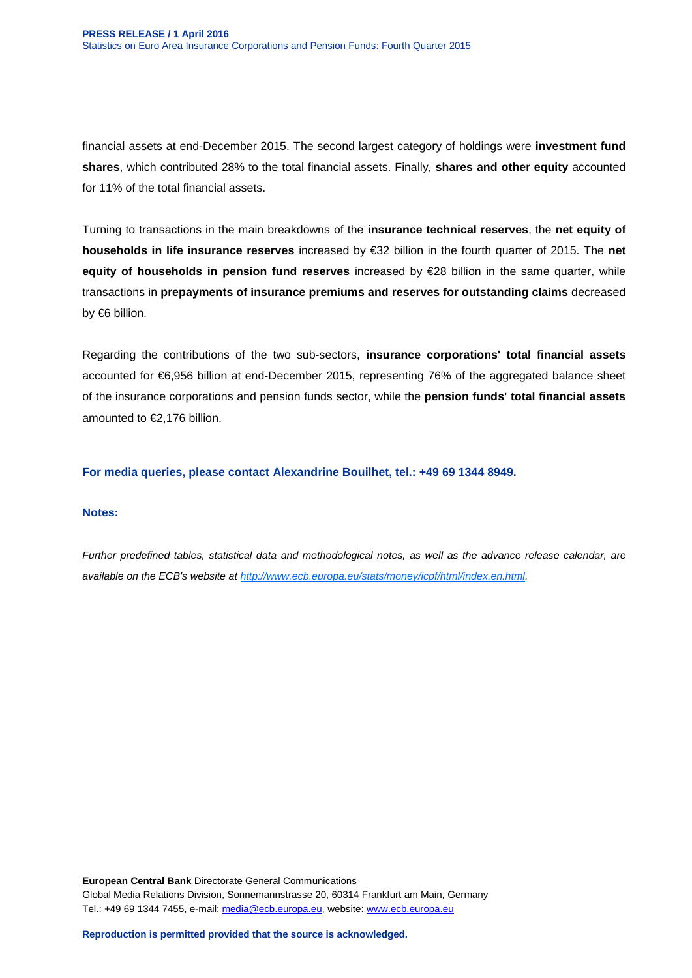financial assets at end-December 2015. The second largest category of holdings were **investment fund shares**, which contributed 28% to the total financial assets. Finally, **shares and other equity** accounted for 11% of the total financial assets.

Turning to transactions in the main breakdowns of the **insurance technical reserves**, the **net equity of households in life insurance reserves** increased by €32 billion in the fourth quarter of 2015. The **net equity of households in pension fund reserves** increased by €28 billion in the same quarter, while transactions in **prepayments of insurance premiums and reserves for outstanding claims** decreased by €6 billion.

Regarding the contributions of the two sub-sectors, **insurance corporations' total financial assets** accounted for €6,956 billion at end-December 2015, representing 76% of the aggregated balance sheet of the insurance corporations and pension funds sector, while the **pension funds' total financial assets** amounted to €2,176 billion.

**For media queries, please contact Alexandrine Bouilhet, tel.: +49 69 1344 8949.**

#### **Notes:**

*Further predefined tables, statistical data and methodological notes, as well as the advance release calendar, are available on the ECB's website a[t http://www.ecb.europa.eu/stats/money/icpf/html/index.en.html.](http://www.ecb.europa.eu/stats/money/icpf/html/index.en.html)*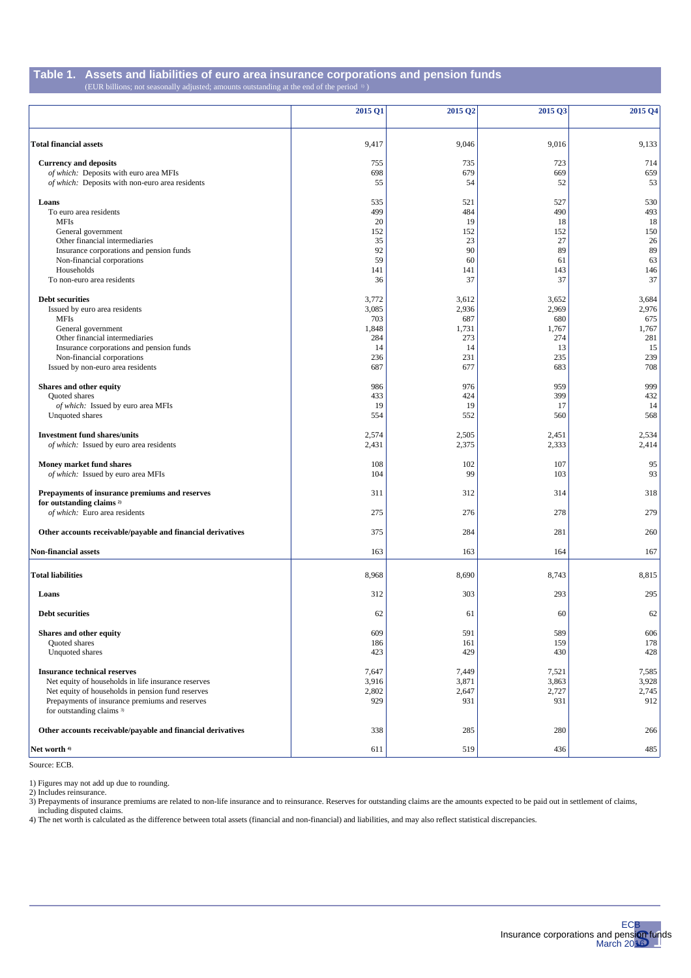#### **Table 1. Assets and liabilities of euro area insurance corporations and pension funds** (EUR billions; not seasonally adjusted; amounts outstanding at the end of the period 1) )

|                                                             | 2015 Q1   | 2015 Q2   | 2015 Q3   | 2015 Q4   |
|-------------------------------------------------------------|-----------|-----------|-----------|-----------|
|                                                             |           |           |           |           |
| <b>Total financial assets</b>                               | 9,417     | 9,046     | 9,016     | 9,133     |
| <b>Currency and deposits</b>                                | 755       | 735       | 723       | 714       |
| of which: Deposits with euro area MFIs                      | 698       | 679       | 669       | 659       |
| of which: Deposits with non-euro area residents             | 55        | 54        | 52        | 53        |
| Loans                                                       | 535       | 521       | 527       | 530       |
| To euro area residents                                      | 499       | 484       | 490       | 493       |
| <b>MFIs</b>                                                 | 20        | 19        | 18        | 18        |
| General government<br>Other financial intermediaries        | 152<br>35 | 152<br>23 | 152<br>27 | 150<br>26 |
| Insurance corporations and pension funds                    | 92        | 90        | 89        | 89        |
| Non-financial corporations                                  | 59        | 60        | 61        | 63        |
| Households                                                  | 141       | 141       | 143       | 146       |
| To non-euro area residents                                  | 36        | 37        | 37        | 37        |
| <b>Debt securities</b>                                      | 3,772     | 3,612     | 3,652     | 3,684     |
| Issued by euro area residents                               | 3,085     | 2,936     | 2,969     | 2,976     |
| <b>MFIs</b>                                                 | 703       | 687       | 680       | 675       |
| General government                                          | 1,848     | 1,731     | 1,767     | 1,767     |
| Other financial intermediaries                              | 284       | 273       | 274       | 281       |
| Insurance corporations and pension funds                    | 14        | 14        | 13        | 15        |
| Non-financial corporations                                  | 236       | 231       | 235       | 239       |
| Issued by non-euro area residents                           | 687       | 677       | 683       | 708       |
| Shares and other equity                                     | 986       | 976       | 959       | 999       |
| Quoted shares                                               | 433       | 424       | 399       | 432       |
| of which: Issued by euro area MFIs                          | 19        | 19        | 17        | 14        |
| Unquoted shares                                             | 554       | 552       | 560       | 568       |
| <b>Investment fund shares/units</b>                         | 2,574     | 2,505     | 2,451     | 2,534     |
| of which: Issued by euro area residents                     | 2,431     | 2,375     | 2,333     | 2,414     |
| Money market fund shares                                    | 108       | 102       | 107       | 95        |
| of which: Issued by euro area MFIs                          | 104       | 99        | 103       | 93        |
| Prepayments of insurance premiums and reserves              | 311       | 312       | 314       | 318       |
| for outstanding claims <sup>2)</sup>                        |           |           |           |           |
| of which: Euro area residents                               | 275       | 276       | 278       | 279       |
| Other accounts receivable/payable and financial derivatives | 375       | 284       | 281       | 260       |
| <b>Non-financial assets</b>                                 | 163       | 163       | 164       | 167       |
|                                                             |           |           |           |           |
| <b>Total liabilities</b>                                    | 8,968     | 8,690     | 8,743     | 8,815     |
| Loans                                                       | 312       | 303       | 293       | 295       |
| <b>Debt securities</b>                                      | 62        | 61        | 60        | 62        |
| Shares and other equity                                     | 609       | 591       | 589       | 606       |
| Quoted shares                                               | 186       | 161       | 159       | 178       |
| Unquoted shares                                             | 423       | 429       | 430       | 428       |
| <b>Insurance technical reserves</b>                         | 7,647     | 7,449     | 7,521     | 7,585     |
| Net equity of households in life insurance reserves         | 3,916     | 3,871     | 3,863     | 3,928     |
| Net equity of households in pension fund reserves           | 2,802     | 2,647     | 2,727     | 2,745     |
| Prepayments of insurance premiums and reserves              | 929       | 931       | 931       | 912       |
| for outstanding claims <sup>3)</sup>                        |           |           |           |           |
| Other accounts receivable/payable and financial derivatives | 338       | 285       | 280       | 266       |
| Net worth 4)                                                | 611       | 519       | 436       | 485       |
|                                                             |           |           |           |           |

Source: ECB.

1) Figures may not add up due to rounding.

2) Includes reinsurance.

3) Prepayments of insurance premiums are related to non-life insurance and to reinsurance. Reserves for outstanding claims are the amounts expected to be paid out in settlement of claims, including disputed claims.

4) The net worth is calculated as the difference between total assets (financial and non-financial) and liabilities, and may also reflect statistical discrepancies.